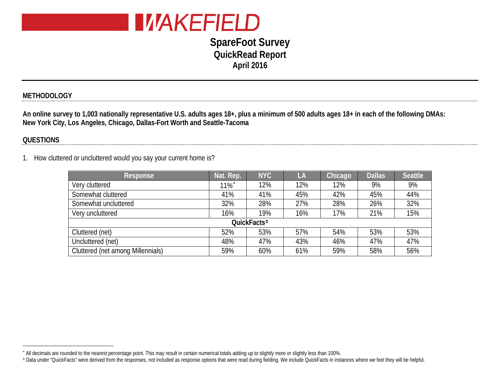

# <span id="page-0-1"></span><span id="page-0-0"></span>**SpareFoot Survey QuickRead Report April 2016**

### **METHODOLOGY**

**An online survey to 1,003 nationally representative U.S. adults ages 18+, plus a minimum of 500 adults ages 18+ in each of the following DMAs: New York City, Los Angeles, Chicago, Dallas-Fort Worth and Seattle-Tacoma**

#### **QUESTIONS**

 $\overline{a}$ 

1. How cluttered or uncluttered would you say your current home is?

| Response                          | Nat. Rep.           | <b>NYC</b> | LA  | Chicago | <b>Dallas</b> | <b>Seattle</b> |  |  |
|-----------------------------------|---------------------|------------|-----|---------|---------------|----------------|--|--|
| Very cluttered                    | $11\%$ <sup>*</sup> | 12%        | 12% | 12%     | 9%            | 9%             |  |  |
| Somewhat cluttered                | 41%                 | 41%        | 45% | 42%     | 45%           | 44%            |  |  |
| Somewhat uncluttered              | 32%                 | 28%        | 27% | 28%     | 26%           | 32%            |  |  |
| Very uncluttered                  | 16%                 | 19%        | 16% | 17%     | 21%           | 15%            |  |  |
| QuickFacts <sup>±</sup>           |                     |            |     |         |               |                |  |  |
| Cluttered (net)                   | 52%                 | 53%        | 57% | 54%     | 53%           | 53%            |  |  |
| Uncluttered (net)                 | 48%                 | 47%        | 43% | 46%     | 47%           | 47%            |  |  |
| Cluttered (net among Millennials) | 59%                 | 60%        | 61% | 59%     | 58%           | 56%            |  |  |

<sup>∗</sup> All decimals are rounded to the nearest percentage point. This may result in certain numerical totals adding up to slightly more or slightly less than 100%.

<sup>±</sup> Data under "QuickFacts" were derived from the responses, not included as response options that were read during fielding. We include QuickFacts in instances where we feel they will be helpful.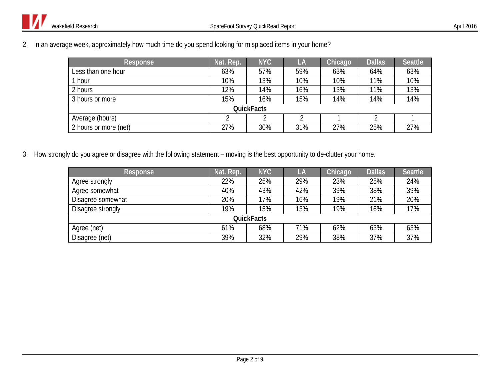2. In an average week, approximately how much time do you spend looking for misplaced items in your home?

| <b>Response</b>       | Nat. Rep. | <b>NYC</b> | LA  | Chicago | <b>Dallas</b> | <b>Seattle</b> |  |  |
|-----------------------|-----------|------------|-----|---------|---------------|----------------|--|--|
| Less than one hour    | 63%       | 57%        | 59% | 63%     | 64%           | 63%            |  |  |
| hour                  | 10%       | 13%        | 10% | 10%     | 11%           | 10%            |  |  |
| 2 hours               | 12%       | 14%        | 16% | 13%     | 11%           | 13%            |  |  |
| 3 hours or more       | 15%       | 16%        | 15% | 14%     | 14%           | 14%            |  |  |
| <b>QuickFacts</b>     |           |            |     |         |               |                |  |  |
| Average (hours)       |           |            |     |         |               |                |  |  |
| 2 hours or more (net) | 27%       | 30%        | 31% | 27%     | 25%           | 27%            |  |  |

3. How strongly do you agree or disagree with the following statement – moving is the best opportunity to de-clutter your home.

| <b>Response</b>   | Nat. Rep. | <b>NYC</b> | LA  | Chicago | <b>Dallas</b> | <b>Seattle</b> |  |  |
|-------------------|-----------|------------|-----|---------|---------------|----------------|--|--|
| Agree strongly    | 22%       | 25%        | 29% | 23%     | 25%           | 24%            |  |  |
| Agree somewhat    | 40%       | 43%        | 42% | 39%     | 38%           | 39%            |  |  |
| Disagree somewhat | 20%       | 17%        | 16% | 19%     | 21%           | 20%            |  |  |
| Disagree strongly | 19%       | 15%        | 13% | 19%     | 16%           | 17%            |  |  |
| <b>QuickFacts</b> |           |            |     |         |               |                |  |  |
| Agree (net)       | 61%       | 68%        | 71% | 62%     | 63%           | 63%            |  |  |
| Disagree (net)    | 39%       | 32%        | 29% | 38%     | 37%           | 37%            |  |  |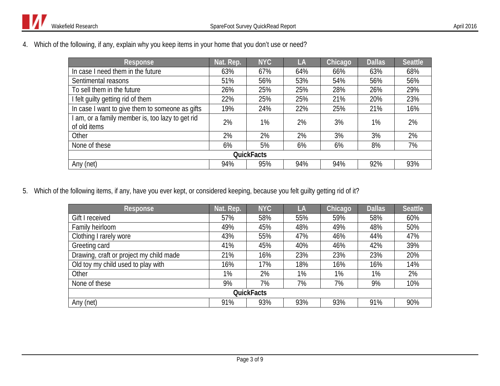4. Which of the following, if any, explain why you keep items in your home that you don't use or need?

| Response                                                       | Nat. Rep. | <b>NYC</b> | LA  | Chicago | <b>Dallas</b> | <b>Seattle</b> |  |  |
|----------------------------------------------------------------|-----------|------------|-----|---------|---------------|----------------|--|--|
| In case I need them in the future                              | 63%       | 67%        | 64% | 66%     | 63%           | 68%            |  |  |
| Sentimental reasons                                            | 51%       | 56%        | 53% | 54%     | 56%           | 56%            |  |  |
| To sell them in the future                                     | 26%       | 25%        | 25% | 28%     | 26%           | 29%            |  |  |
| I felt guilty getting rid of them                              | 22%       | 25%        | 25% | 21%     | 20%           | 23%            |  |  |
| In case I want to give them to someone as gifts                | 19%       | 24%        | 22% | 25%     | 21%           | 16%            |  |  |
| am, or a family member is, too lazy to get rid<br>of old items | 2%        | 1%         | 2%  | 3%      | 1%            | 2%             |  |  |
| Other                                                          | 2%        | 2%         | 2%  | 3%      | 3%            | 2%             |  |  |
| None of these                                                  | 6%        | 5%         | 6%  | 6%      | 8%            | 7%             |  |  |
| <b>QuickFacts</b>                                              |           |            |     |         |               |                |  |  |
| Any (net)                                                      | 94%       | 95%        | 94% | 94%     | 92%           | 93%            |  |  |

5. Which of the following items, if any, have you ever kept, or considered keeping, because you felt guilty getting rid of it?

| <b>Response</b>                         | Nat. Rep. | <b>NYC</b> | LA    | Chicago | <b>Dallas</b> | <b>Seattle</b> |  |  |
|-----------------------------------------|-----------|------------|-------|---------|---------------|----------------|--|--|
| Gift I received                         | 57%       | 58%        | 55%   | 59%     | 58%           | 60%            |  |  |
| Family heirloom                         | 49%       | 45%        | 48%   | 49%     | 48%           | 50%            |  |  |
| Clothing I rarely wore                  | 43%       | 55%        | 47%   | 46%     | 44%           | 47%            |  |  |
| Greeting card                           | 41%       | 45%        | 40%   | 46%     | 42%           | 39%            |  |  |
| Drawing, craft or project my child made | 21%       | 16%        | 23%   | 23%     | 23%           | 20%            |  |  |
| Old toy my child used to play with      | 16%       | 17%        | 18%   | 16%     | 16%           | 14%            |  |  |
| Other                                   | $1\%$     | 2%         | $1\%$ | 1%      | $1\%$         | 2%             |  |  |
| None of these                           | 9%        | 7%         | 7%    | 7%      | 9%            | 10%            |  |  |
| <b>QuickFacts</b>                       |           |            |       |         |               |                |  |  |
| Any (net)                               | 91%       | 93%        | 93%   | 93%     | 91%           | 90%            |  |  |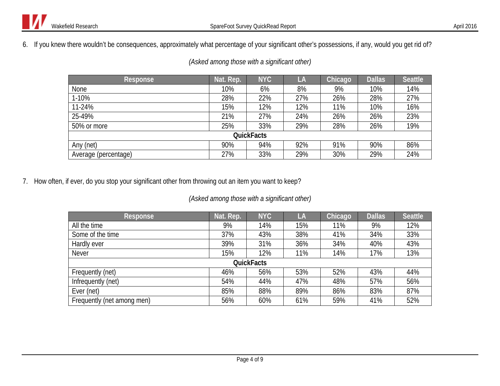6. If you knew there wouldn't be consequences, approximately what percentage of your significant other's possessions, if any, would you get rid of?

| <b>Response</b>      | Nat. Rep. | <b>NYC</b> | LA  | Chicago | <b>Dallas</b> | <b>Seattle</b> |  |  |  |
|----------------------|-----------|------------|-----|---------|---------------|----------------|--|--|--|
| None                 | 10%       | 6%         | 8%  | 9%      | 10%           | 14%            |  |  |  |
| 1-10%                | 28%       | 22%        | 27% | 26%     | 28%           | 27%            |  |  |  |
| 11-24%               | 15%       | 12%        | 12% | 11%     | 10%           | 16%            |  |  |  |
| 25-49%               | 21%       | 27%        | 24% | 26%     | 26%           | 23%            |  |  |  |
| 50% or more          | 25%       | 33%        | 29% | 28%     | 26%           | 19%            |  |  |  |
| <b>QuickFacts</b>    |           |            |     |         |               |                |  |  |  |
| Any (net)            | 90%       | 94%        | 92% | 91%     | 90%           | 86%            |  |  |  |
| Average (percentage) | 27%       | 33%        | 29% | 30%     | 29%           | 24%            |  |  |  |

*(Asked among those with a significant other)*

7. How often, if ever, do you stop your significant other from throwing out an item you want to keep?

## *(Asked among those with a significant other)*

| <b>Response</b>            | Nat. Rep. | <b>NYC</b>        | LA  | Chicago | <b>Dallas</b> | <b>Seattle</b> |
|----------------------------|-----------|-------------------|-----|---------|---------------|----------------|
| All the time               | 9%        | 14%               | 15% | 11%     | 9%            | 12%            |
| Some of the time           | 37%       | 43%               | 38% | 41%     | 34%           | 33%            |
| Hardly ever                | 39%       | 31%               | 36% | 34%     | 40%           | 43%            |
| <b>Never</b>               | 15%       | 12%               | 11% | 14%     | 17%           | 13%            |
|                            |           | <b>QuickFacts</b> |     |         |               |                |
| Frequently (net)           | 46%       | 56%               | 53% | 52%     | 43%           | 44%            |
| Infrequently (net)         | 54%       | 44%               | 47% | 48%     | 57%           | 56%            |
| Ever (net)                 | 85%       | 88%               | 89% | 86%     | 83%           | 87%            |
| Frequently (net among men) | 56%       | 60%               | 61% | 59%     | 41%           | 52%            |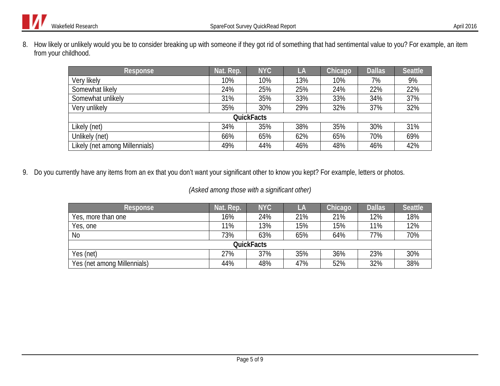8. How likely or unlikely would you be to consider breaking up with someone if they got rid of something that had sentimental value to you? For example, an item from your childhood.

| Response                       | Nat. Rep. | <b>NYC</b> | LA  | Chicago | <b>Dallas</b> | <b>Seattle</b> |  |  |
|--------------------------------|-----------|------------|-----|---------|---------------|----------------|--|--|
| Very likely                    | 10%       | 10%        | 13% | 10%     | 7%            | 9%             |  |  |
| Somewhat likely                | 24%       | 25%        | 25% | 24%     | 22%           | 22%            |  |  |
| Somewhat unlikely              | 31%       | 35%        | 33% | 33%     | 34%           | 37%            |  |  |
| Very unlikely                  | 35%       | 30%        | 29% | 32%     | 37%           | 32%            |  |  |
| <b>QuickFacts</b>              |           |            |     |         |               |                |  |  |
| Likely (net)                   | 34%       | 35%        | 38% | 35%     | 30%           | 31%            |  |  |
| Unlikely (net)                 | 66%       | 65%        | 62% | 65%     | 70%           | 69%            |  |  |
| Likely (net among Millennials) | 49%       | 44%        | 46% | 48%     | 46%           | 42%            |  |  |

9. Do you currently have any items from an ex that you don't want your significant other to know you kept? For example, letters or photos.

### *(Asked among those with a significant other)*

| Response                    | Nat. Rep. | <b>NYC</b> | LA  | Chicago | <b>Dallas</b> | <b>Seattle</b> |  |  |
|-----------------------------|-----------|------------|-----|---------|---------------|----------------|--|--|
| Yes, more than one          | 16%       | 24%        | 21% | 21%     | 12%           | 18%            |  |  |
| Yes, one                    | 11%       | 13%        | 15% | 15%     | 11%           | 12%            |  |  |
| <b>No</b>                   | 73%       | 63%        | 65% | 64%     | 77%           | 70%            |  |  |
| <b>QuickFacts</b>           |           |            |     |         |               |                |  |  |
| Yes (net)                   | 27%       | 37%        | 35% | 36%     | 23%           | 30%            |  |  |
| Yes (net among Millennials) | 44%       | 48%        | 47% | 52%     | 32%           | 38%            |  |  |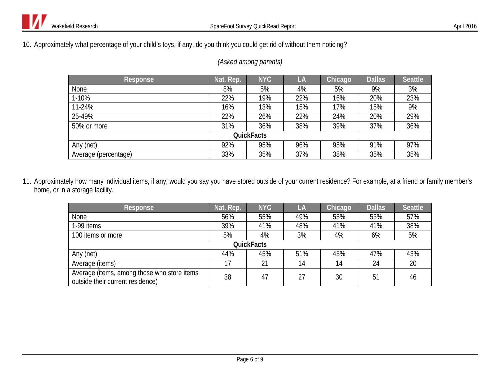10. Approximately what percentage of your child's toys, if any, do you think you could get rid of without them noticing?

| Response             | Nat. Rep. | <b>NYC</b> | LA  | Chicago | <b>Dallas</b> | <b>Seattle</b> |  |  |
|----------------------|-----------|------------|-----|---------|---------------|----------------|--|--|
| None                 | 8%        | 5%         | 4%  | 5%      | 9%            | 3%             |  |  |
| 1-10%                | 22%       | 19%        | 22% | 16%     | 20%           | 23%            |  |  |
| 11-24%               | 16%       | 13%        | 15% | 17%     | 15%           | 9%             |  |  |
| 25-49%               | 22%       | 26%        | 22% | 24%     | 20%           | 29%            |  |  |
| 50% or more          | 31%       | 36%        | 38% | 39%     | 37%           | 36%            |  |  |
| <b>QuickFacts</b>    |           |            |     |         |               |                |  |  |
| Any (net)            | 92%       | 95%        | 96% | 95%     | 91%           | 97%            |  |  |
| Average (percentage) | 33%       | 35%        | 37% | 38%     | 35%           | 35%            |  |  |

#### *(Asked among parents)*

11. Approximately how many individual items, if any, would you say you have stored outside of your current residence? For example, at a friend or family member's home, or in a storage facility.

| Response                                                                        | Nat. Rep. | <b>NYC</b> | LA  | Chicago | <b>Dallas</b> | <b>Seattle</b> |  |  |
|---------------------------------------------------------------------------------|-----------|------------|-----|---------|---------------|----------------|--|--|
| <b>None</b>                                                                     | 56%       | 55%        | 49% | 55%     | 53%           | 57%            |  |  |
| 1-99 items                                                                      | 39%       | 41%        | 48% | 41%     | 41%           | 38%            |  |  |
| 100 items or more                                                               | 5%        | 4%         | 3%  | 4%      | 6%            | 5%             |  |  |
| <b>QuickFacts</b>                                                               |           |            |     |         |               |                |  |  |
| Any (net)                                                                       | 44%       | 45%        | 51% | 45%     | 47%           | 43%            |  |  |
| Average (items)                                                                 | 17        | 21         | 14  | 14      | 24            | 20             |  |  |
| Average (items, among those who store items<br>outside their current residence) | 38        | 47         | 27  | 30      | 51            | 46             |  |  |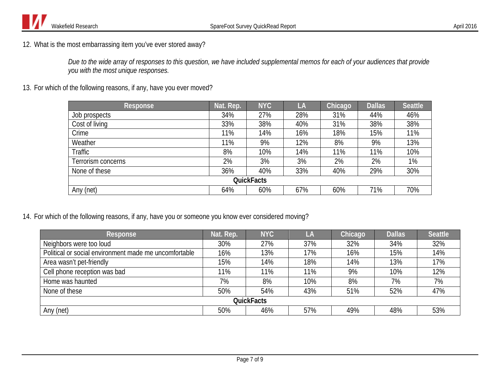

12. What is the most embarrassing item you've ever stored away?

*Due to the wide array of responses to this question, we have included supplemental memos for each of your audiences that provide you with the most unique responses.*

13. For which of the following reasons, if any, have you ever moved?

| <b>Response</b>    | Nat. Rep. | <b>NYC</b> | LA  | Chicago | <b>Dallas</b> | <b>Seattle</b> |  |  |
|--------------------|-----------|------------|-----|---------|---------------|----------------|--|--|
| Job prospects      | 34%       | 27%        | 28% | 31%     | 44%           | 46%            |  |  |
| Cost of living     | 33%       | 38%        | 40% | 31%     | 38%           | 38%            |  |  |
| Crime              | 11%       | 14%        | 16% | 18%     | 15%           | 11%            |  |  |
| Weather            | 11%       | 9%         | 12% | 8%      | 9%            | 13%            |  |  |
| Traffic            | 8%        | 10%        | 14% | 11%     | 11%           | 10%            |  |  |
| Terrorism concerns | 2%        | 3%         | 3%  | 2%      | 2%            | 1%             |  |  |
| None of these      | 36%       | 40%        | 33% | 40%     | 29%           | 30%            |  |  |
| <b>QuickFacts</b>  |           |            |     |         |               |                |  |  |
| Any (net)          | 64%       | 60%        | 67% | 60%     | 71%           | 70%            |  |  |

14. For which of the following reasons, if any, have you or someone you know ever considered moving?

| Response                                              | Nat. Rep. | <b>NYC</b> | LA  | Chicago | <b>Dallas</b> | <b>Seattle</b> |  |  |  |
|-------------------------------------------------------|-----------|------------|-----|---------|---------------|----------------|--|--|--|
| Neighbors were too loud                               | 30%       | 27%        | 37% | 32%     | 34%           | 32%            |  |  |  |
| Political or social environment made me uncomfortable | 16%       | 13%        | 17% | 16%     | 15%           | 14%            |  |  |  |
| Area wasn't pet-friendly                              | 15%       | 14%        | 18% | 14%     | 13%           | 17%            |  |  |  |
| Cell phone reception was bad                          | 11%       | 11%        | 11% | 9%      | 10%           | 12%            |  |  |  |
| Home was haunted                                      | 7%        | 8%         | 10% | 8%      | 7%            | 7%             |  |  |  |
| None of these                                         | 50%       | 54%        | 43% | 51%     | 52%           | 47%            |  |  |  |
| <b>QuickFacts</b>                                     |           |            |     |         |               |                |  |  |  |
| Any (net)                                             | 50%       | 46%        | 57% | 49%     | 48%           | 53%            |  |  |  |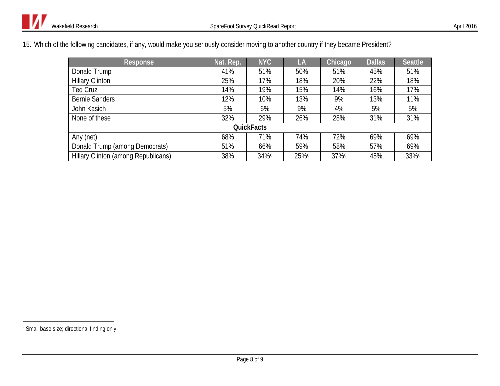15. Which of the following candidates, if any, would make you seriously consider moving to another country if they became President?

<span id="page-7-3"></span><span id="page-7-2"></span><span id="page-7-1"></span><span id="page-7-0"></span>

| <b>Response</b>                     | Nat. Rep. | <b>NYC</b> | LA   | Chicago | <b>Dallas</b> | <b>Seattle</b> |  |  |  |
|-------------------------------------|-----------|------------|------|---------|---------------|----------------|--|--|--|
| Donald Trump                        | 41%       | 51%        | 50%  | 51%     | 45%           | 51%            |  |  |  |
| <b>Hillary Clinton</b>              | 25%       | 17%        | 18%  | 20%     | 22%           | 18%            |  |  |  |
| <b>Ted Cruz</b>                     | 14%       | 19%        | 15%  | 14%     | 16%           | 17%            |  |  |  |
| <b>Bernie Sanders</b>               | 12%       | 10%        | 13%  | 9%      | 13%           | 11%            |  |  |  |
| John Kasich                         | 5%        | 6%         | 9%   | 4%      | 5%            | 5%             |  |  |  |
| None of these                       | 32%       | 29%        | 26%  | 28%     | 31%           | 31%            |  |  |  |
| <b>QuickFacts</b>                   |           |            |      |         |               |                |  |  |  |
| Any (net)                           | 68%       | 71%        | 74%  | 72%     | 69%           | 69%            |  |  |  |
| Donald Trump (among Democrats)      | 51%       | 66%        | 59%  | 58%     | 57%           | 69%            |  |  |  |
| Hillary Clinton (among Republicans) | 38%       | 34%c       | 25%c | 37%c    | 45%           | 33%c           |  |  |  |

 $\overline{a}$ 

<sup>c</sup> Small base size; directional finding only.